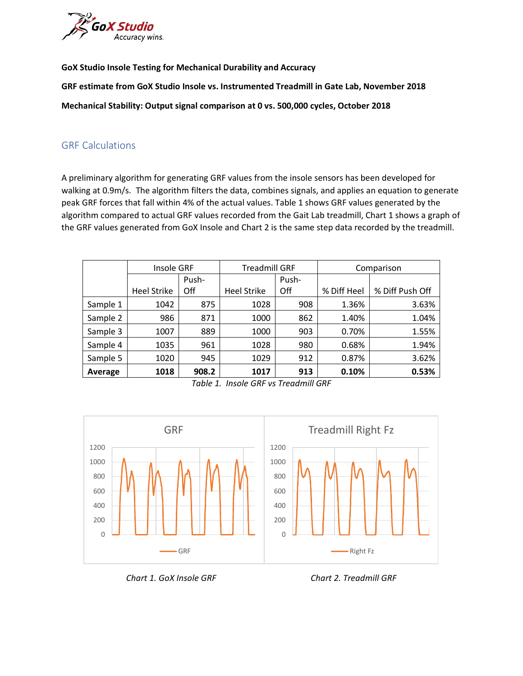

**GoX Studio Insole Testing for Mechanical Durability and Accuracy**

**GRF estimate from GoX Studio Insole vs. Instrumented Treadmill in Gate Lab, November 2018**

**Mechanical Stability: Output signal comparison at 0 vs. 500,000 cycles, October 2018**

## GRF Calculations

A preliminary algorithm for generating GRF values from the insole sensors has been developed for walking at 0.9m/s. The algorithm filters the data, combines signals, and applies an equation to generate peak GRF forces that fall within 4% of the actual values. Table 1 shows GRF values generated by the algorithm compared to actual GRF values recorded from the Gait Lab treadmill, Chart 1 shows a graph of the GRF values generated from GoX Insole and Chart 2 is the same step data recorded by the treadmill.

|          | Insole GRF         |       | <b>Treadmill GRF</b> |       | Comparison  |                 |
|----------|--------------------|-------|----------------------|-------|-------------|-----------------|
|          |                    | Push- |                      | Push- |             |                 |
|          | <b>Heel Strike</b> | Off   | <b>Heel Strike</b>   | Off   | % Diff Heel | % Diff Push Off |
| Sample 1 | 1042               | 875   | 1028                 | 908   | 1.36%       | 3.63%           |
| Sample 2 | 986                | 871   | 1000                 | 862   | 1.40%       | 1.04%           |
| Sample 3 | 1007               | 889   | 1000                 | 903   | 0.70%       | 1.55%           |
| Sample 4 | 1035               | 961   | 1028                 | 980   | 0.68%       | 1.94%           |
| Sample 5 | 1020               | 945   | 1029                 | 912   | 0.87%       | 3.62%           |
| Average  | 1018               | 908.2 | 1017                 | 913   | 0.10%       | 0.53%           |

*Table 1. Insole GRF vs Treadmill GRF*



*Chart 1. GoX Insole GRF Chart 2. Treadmill GRF*